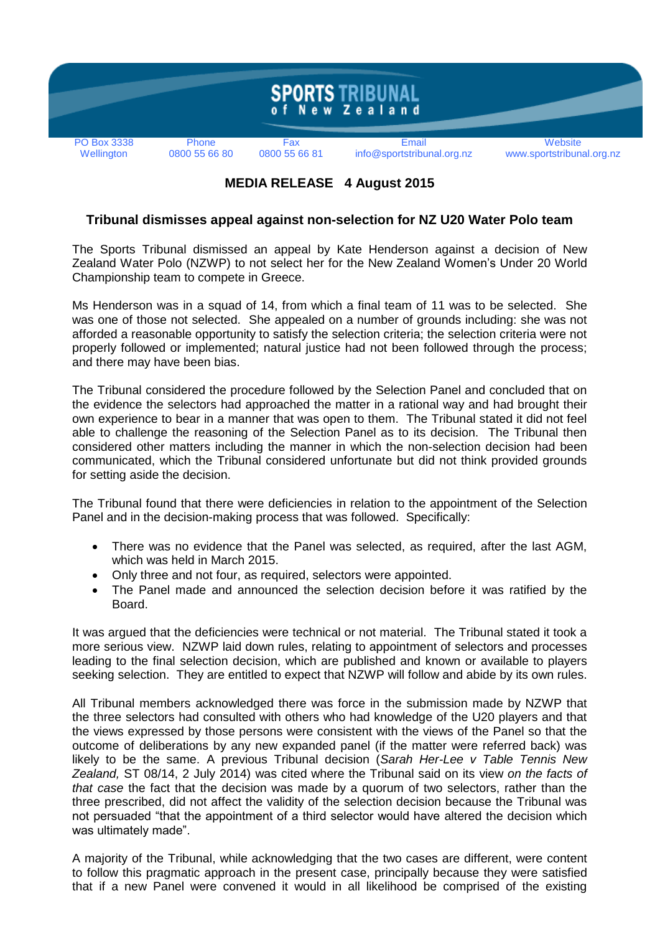

## **MEDIA RELEASE 4 August 2015**

## **Tribunal dismisses appeal against non-selection for NZ U20 Water Polo team**

The Sports Tribunal dismissed an appeal by Kate Henderson against a decision of New Zealand Water Polo (NZWP) to not select her for the New Zealand Women's Under 20 World Championship team to compete in Greece.

Ms Henderson was in a squad of 14, from which a final team of 11 was to be selected. She was one of those not selected. She appealed on a number of grounds including: she was not afforded a reasonable opportunity to satisfy the selection criteria; the selection criteria were not properly followed or implemented; natural justice had not been followed through the process; and there may have been bias.

The Tribunal considered the procedure followed by the Selection Panel and concluded that on the evidence the selectors had approached the matter in a rational way and had brought their own experience to bear in a manner that was open to them. The Tribunal stated it did not feel able to challenge the reasoning of the Selection Panel as to its decision. The Tribunal then considered other matters including the manner in which the non-selection decision had been communicated, which the Tribunal considered unfortunate but did not think provided grounds for setting aside the decision.

The Tribunal found that there were deficiencies in relation to the appointment of the Selection Panel and in the decision-making process that was followed. Specifically:

- There was no evidence that the Panel was selected, as required, after the last AGM, which was held in March 2015.
- Only three and not four, as required, selectors were appointed.
- The Panel made and announced the selection decision before it was ratified by the Board.

It was argued that the deficiencies were technical or not material. The Tribunal stated it took a more serious view. NZWP laid down rules, relating to appointment of selectors and processes leading to the final selection decision, which are published and known or available to players seeking selection. They are entitled to expect that NZWP will follow and abide by its own rules.

All Tribunal members acknowledged there was force in the submission made by NZWP that the three selectors had consulted with others who had knowledge of the U20 players and that the views expressed by those persons were consistent with the views of the Panel so that the outcome of deliberations by any new expanded panel (if the matter were referred back) was likely to be the same. A previous Tribunal decision (*Sarah Her-Lee v Table Tennis New Zealand,* ST 08/14, 2 July 2014) was cited where the Tribunal said on its view *on the facts of that case* the fact that the decision was made by a quorum of two selectors, rather than the three prescribed, did not affect the validity of the selection decision because the Tribunal was not persuaded "that the appointment of a third selector would have altered the decision which was ultimately made".

A majority of the Tribunal, while acknowledging that the two cases are different, were content to follow this pragmatic approach in the present case, principally because they were satisfied that if a new Panel were convened it would in all likelihood be comprised of the existing